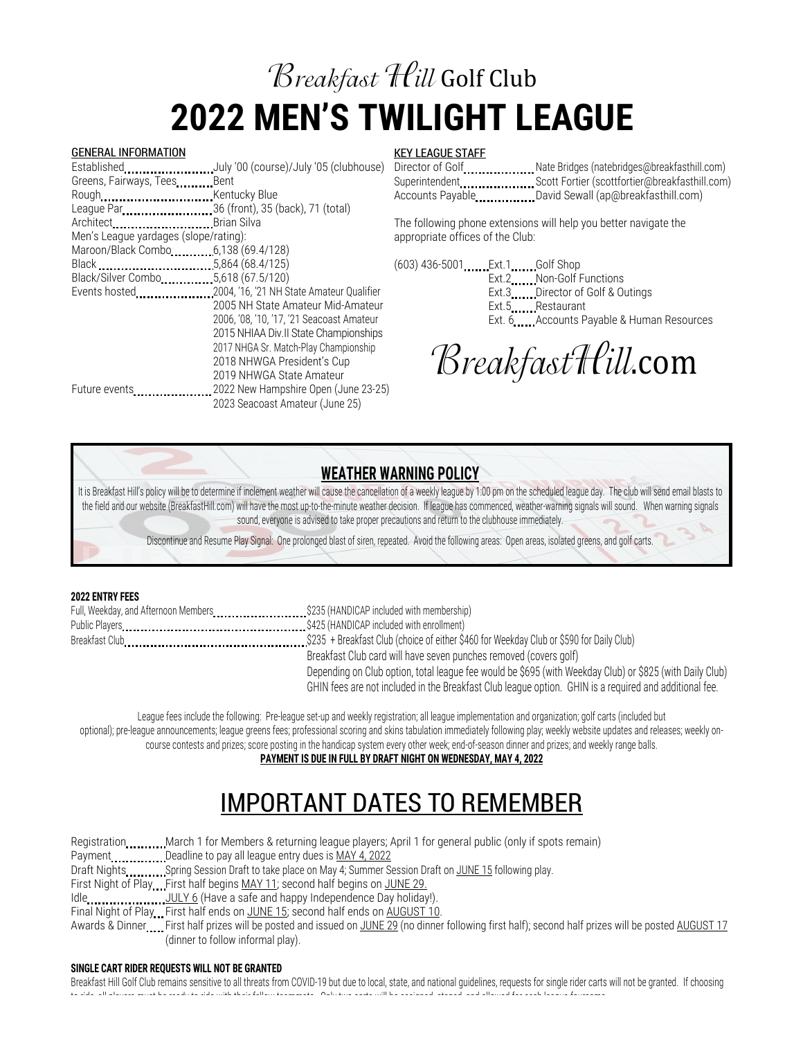### **Breakfast Hill Golf Club 2022 MEN'S TWILIGHT LEAGUE**

#### GENERAL INFORMATION

|                                       | EstablishedJuly '00 (course)/July '05 (clubhouse) |
|---------------------------------------|---------------------------------------------------|
| Greens, Fairways, Tees Bent           |                                                   |
| Rough                                 |                                                   |
|                                       | League Par36 (front), 35 (back), 71 (total)       |
| Architect Brian Silva                 |                                                   |
| Men's League yardages (slope/rating): |                                                   |
|                                       |                                                   |
|                                       |                                                   |
| Black/Silver Combo  5,618 (67.5/120)  |                                                   |
|                                       |                                                   |
|                                       | 2005 NH State Amateur Mid-Amateur                 |
|                                       | 2006, '08, '10, '17, '21 Seacoast Amateur         |
|                                       | 2015 NHIAA Div. II State Championships            |
|                                       | 2017 NHGA Sr. Match-Play Championship             |
|                                       | 2018 NHWGA President's Cup                        |
|                                       | 2019 NHWGA State Amateur                          |
| Future events                         | 2022 New Hampshire Open (June 23-25)              |
|                                       | 2023 Seacoast Amateur (June 25)                   |

#### KEY LEAGUE STAFF

Director of Golf ...................... Nate Bridges (natebridges@breakfasthill.com) Superintendent .......................Scott Fortier (scottfortier@breakfasthill.com) Accounts Payable **David Sewall** (ap@breakfasthill.com)

The following phone extensions will help you better navigate the appropriate offices of the Club:

(603) 436-5001 Ext.1 Golf Shop Ext.2 Non-Golf Functions Ext.3 Director of Golf & Outings Ext.5 Restaurant Ext. 6 **Accounts Payable & Human Resources** 

BreakfastHill.com

### **WEATHER WARNING POLICY**

It is Breakfast Hill's policy will be to determine if inclement weather will cause the cancellation of a weekly league by 1:00 pm on the scheduled league day. The club will send email blasts to the field and our website (BreakfastHill.com) will have the most up-to-the-minute weather decision. If league has commenced, weather-warning signals will sound. When warning signals sound, everyone is advised to take proper precautions and return to the clubhouse immediately.

Discontinue and Resume Play Signal: One prolonged blast of siren, repeated. Avoid the following areas: Open areas, isolated greens, and golf carts.

#### **2022 ENTRY FEES**

| Breakfast Club card will have seven punches removed (covers golf)                                        |
|----------------------------------------------------------------------------------------------------------|
| Depending on Club option, total league fee would be \$695 (with Weekday Club) or \$825 (with Daily Club) |
| GHIN fees are not included in the Breakfast Club league option. GHIN is a required and additional fee.   |

League fees include the following: Pre-league set-up and weekly registration; all league implementation and organization; golf carts (included but optional); pre-league announcements; league greens fees; professional scoring and skins tabulation immediately following play; weekly website updates and releases; weekly oncourse contests and prizes; score posting in the handicap system every other week; end-of-season dinner and prizes; and weekly range balls. **PAYMENT IS DUE IN FULL BY DRAFT NIGHT ON WEDNESDAY, MAY 4, 2022**

# IMPORTANT DATES TO REMEMBER

Registration ..........March 1 for Members & returning league players; April 1 for general public (only if spots remain) Payment **............** Deadline to pay all league entry dues is MAY 4, 2022 Draft Nights ............ Spring Session Draft to take place on May 4; Summer Session Draft on JUNE 15 following play. First Night of Play First half begins MAY 11; second half begins on JUNE 29. Idle.......................<u>JULY 6</u> (Have a safe and happy Independence Day holiday!). Final Night of Play First half ends on JUNE 15; second half ends on AUGUST 10. Awards & Dinner First half prizes will be posted and issued on JUNE 29 (no dinner following first half); second half prizes will be posted AUGUST 17 (dinner to follow informal play).

#### **SINGLE CART RIDER REQUESTS WILL NOT BE GRANTED**

Breakfast Hill Golf Club remains sensitive to all threats from COVID-19 but due to local, state, and national guidelines, requests for single rider carts will not be granted. If choosing to ride, all players must be ready to ride with their fellow teammate. Only two carts will be assigned, staged, and allowed for each league foursome.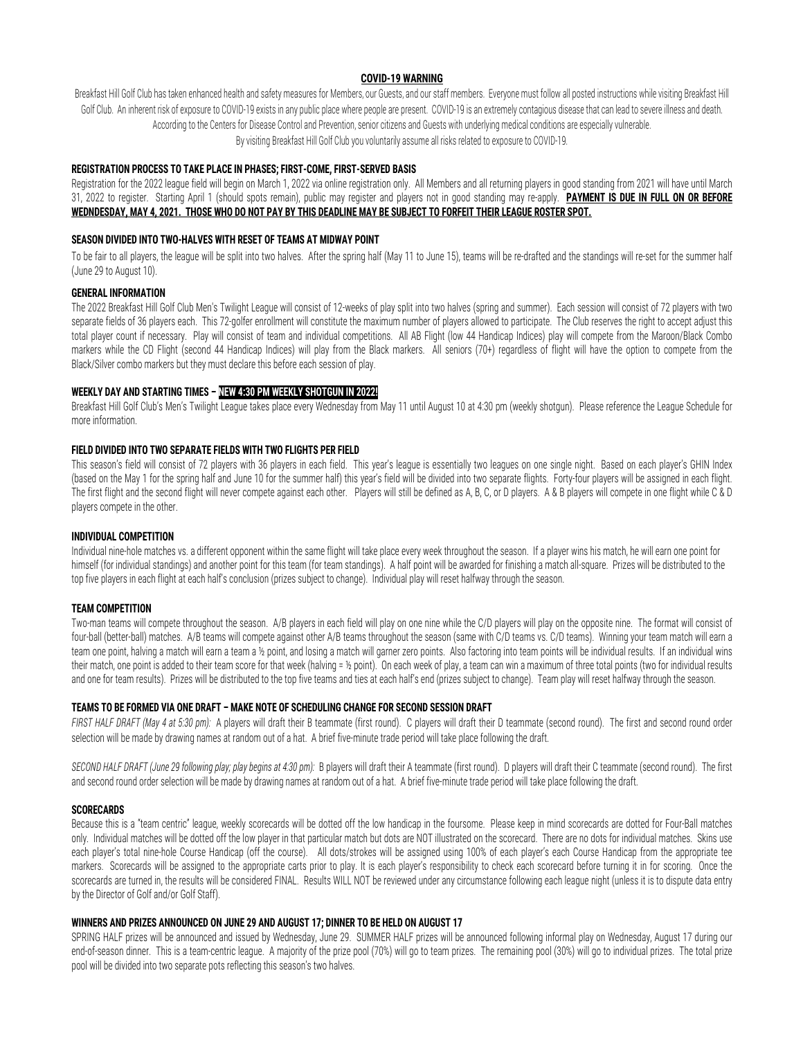#### **COVID-19 WARNING**

Breakfast Hill Golf Club has taken enhanced health and safety measures for Members, our Guests, and our staff members. Everyone must follow all posted instructions while visiting Breakfast Hill Golf Club. An inherent risk of exposure to COVID-19 exists in any public place where people are present. COVID-19 is an extremely contagious disease that can lead to severe illness and death. According to the Centers for Disease Control and Prevention, senior citizens and Guests with underlying medical conditions are especially vulnerable. By visiting Breakfast Hill Golf Club you voluntarily assume all risks related to exposure to COVID-19.

#### **REGISTRATION PROCESS TO TAKE PLACE IN PHASES; FIRST-COME, FIRST-SERVED BASIS**

Registration for the 2022 league field will begin on March 1, 2022 via online registration only. All Members and all returning players in good standing from 2021 will have until March 31, 2022 to register. Starting April 1 (should spots remain), public may register and players not in good standing may re-apply. **PAYMENT IS DUE IN FULL ON OR BEFORE WEDNDESDAY, MAY 4, 2021. THOSE WHO DO NOT PAY BY THIS DEADLINE MAY BE SUBJECT TO FORFEIT THEIR LEAGUE ROSTER SPOT.**

#### **SEASON DIVIDED INTO TWO-HALVES WITH RESET OF TEAMS AT MIDWAY POINT**

To be fair to all players, the league will be split into two halves. After the spring half (May 11 to June 15), teams will be re-drafted and the standings will re-set for the summer half (June 29 to August 10).

#### **GENERAL INFORMATION**

The 2022 Breakfast Hill Golf Club Men's Twilight League will consist of 12-weeks of play split into two halves (spring and summer). Each session will consist of 72 players with two separate fields of 36 players each. This 72-golfer enrollment will constitute the maximum number of players allowed to participate. The Club reserves the right to accept adjust this total player count if necessary. Play will consist of team and individual competitions. All AB Flight (low 44 Handicap Indices) play will compete from the Maroon/Black Combo markers while the CD Flight (second 44 Handicap Indices) will play from the Black markers. All seniors (70+) regardless of flight will have the option to compete from the Black/Silver combo markers but they must declare this before each session of play.

#### **WEEKLY DAY AND STARTING TIMES – NEW 4:30 PM WEEKLY SHOTGUN IN 2022!**

Breakfast Hill Golf Club's Men's Twilight League takes place every Wednesday from May 11 until August 10 at 4:30 pm (weekly shotgun). Please reference the League Schedule for more information.

#### **FIELD DIVIDED INTO TWO SEPARATE FIELDS WITH TWO FLIGHTS PER FIELD**

This season's field will consist of 72 players with 36 players in each field. This year's league is essentially two leagues on one single night. Based on each player's GHIN Index (based on the May 1 for the spring half and June 10 for the summer half) this year's field will be divided into two separate flights. Forty-four players will be assigned in each flight. The first flight and the second flight will never compete against each other. Players will still be defined as A, B, C, or D players. A & B players will compete in one flight while C & D players compete in the other.

#### **INDIVIDUAL COMPETITION**

Individual nine-hole matches vs. a different opponent within the same flight will take place every week throughout the season. If a player wins his match, he will earn one point for himself (for individual standings) and another point for this team (for team standings). A half point will be awarded for finishing a match all-square. Prizes will be distributed to the top five players in each flight at each half's conclusion (prizes subject to change). Individual play will reset halfway through the season.

#### **TEAM COMPETITION**

Two-man teams will compete throughout the season. A/B players in each field will play on one nine while the C/D players will play on the opposite nine. The format will consist of four-ball (better-ball) matches. A/B teams will compete against other A/B teams throughout the season (same with C/D teams vs. C/D teams). Winning your team match will earn a team one point, halving a match will earn a team a ½ point, and losing a match will garner zero points. Also factoring into team points will be individual results. If an individual wins their match, one point is added to their team score for that week (halving = ½ point). On each week of play, a team can win a maximum of three total points (two for individual results and one for team results). Prizes will be distributed to the top five teams and ties at each half's end (prizes subject to change). Team play will reset halfway through the season.

#### **TEAMS TO BE FORMED VIA ONE DRAFT – MAKE NOTE OF SCHEDULING CHANGE FOR SECOND SESSION DRAFT**

*FIRST HALF DRAFT (May 4 at 5:30 pm):* A players will draft their B teammate (first round). C players will draft their D teammate (second round). The first and second round order selection will be made by drawing names at random out of a hat. A brief five-minute trade period will take place following the draft.

*SECOND HALF DRAFT (June 29 following play; play begins at 4:30 pm):* B players will draft their A teammate (first round). D players will draft their C teammate (second round). The first and second round order selection will be made by drawing names at random out of a hat. A brief five-minute trade period will take place following the draft.

#### **SCORECARDS**

Because this is a "team centric" league, weekly scorecards will be dotted off the low handicap in the foursome. Please keep in mind scorecards are dotted for Four-Ball matches only. Individual matches will be dotted off the low player in that particular match but dots are NOT illustrated on the scorecard. There are no dots for individual matches. Skins use each player's total nine-hole Course Handicap (off the course). All dots/strokes will be assigned using 100% of each player's each Course Handicap from the appropriate tee markers. Scorecards will be assigned to the appropriate carts prior to play. It is each player's responsibility to check each scorecard before turning it in for scoring. Once the scorecards are turned in, the results will be considered FINAL. Results WILL NOT be reviewed under any circumstance following each league night (unless it is to dispute data entry by the Director of Golf and/or Golf Staff).

#### **WINNERS AND PRIZES ANNOUNCED ON JUNE 29 AND AUGUST 17; DINNER TO BE HELD ON AUGUST 17**

SPRING HALF prizes will be announced and issued by Wednesday, June 29. SUMMER HALF prizes will be announced following informal play on Wednesday, August 17 during our end-of-season dinner. This is a team-centric league. A majority of the prize pool (70%) will go to team prizes. The remaining pool (30%) will go to individual prizes. The total prize pool will be divided into two separate pots reflecting this season's two halves.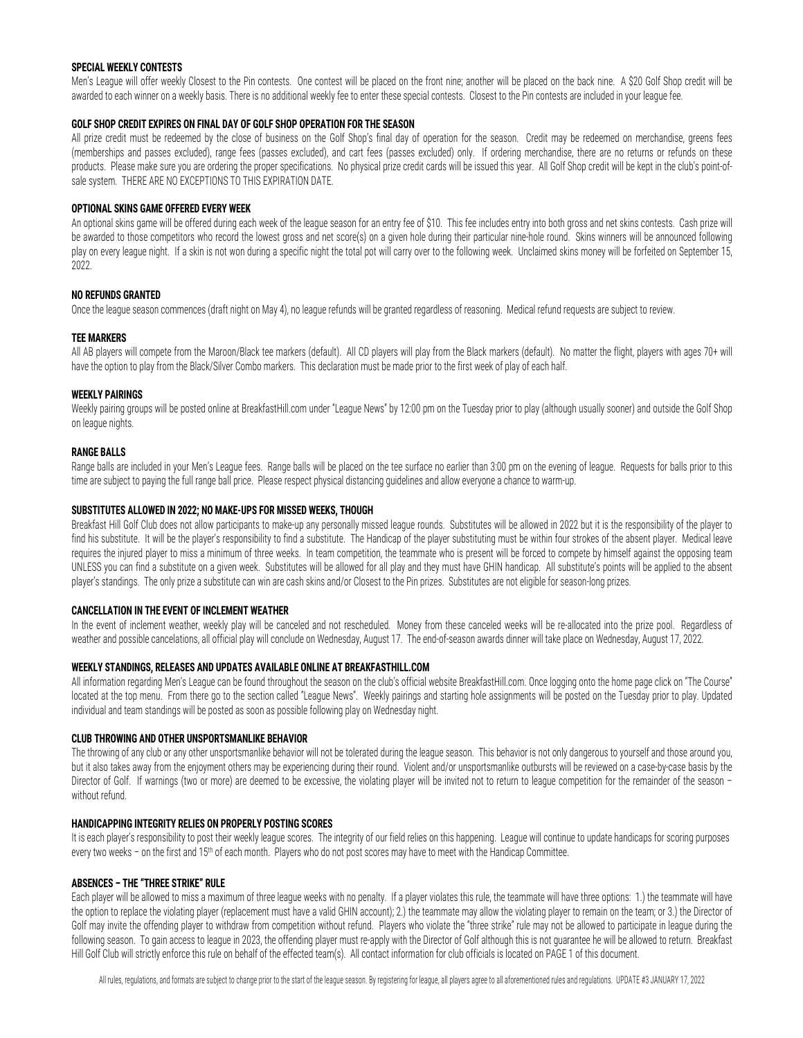#### **SPECIAL WEEKLY CONTESTS**

Men's League will offer weekly Closest to the Pin contests. One contest will be placed on the front nine; another will be placed on the back nine. A \$20 Golf Shop credit will be awarded to each winner on a weekly basis. There is no additional weekly fee to enter these special contests. Closest to the Pin contests are included in your league fee.

#### **GOLF SHOP CREDIT EXPIRES ON FINAL DAY OF GOLF SHOP OPERATION FOR THE SEASON**

All prize credit must be redeemed by the close of business on the Golf Shop's final day of operation for the season. Credit may be redeemed on merchandise, greens fees (memberships and passes excluded), range fees (passes excluded), and cart fees (passes excluded) only. If ordering merchandise, there are no returns or refunds on these products. Please make sure you are ordering the proper specifications. No physical prize credit cards will be issued this year. All Golf Shop credit will be kept in the club's point-ofsale system. THERE ARE NO EXCEPTIONS TO THIS EXPIRATION DATE.

#### **OPTIONAL SKINS GAME OFFERED EVERY WEEK**

An optional skins game will be offered during each week of the league season for an entry fee of \$10. This fee includes entry into both gross and net skins contests. Cash prize will be awarded to those competitors who record the lowest gross and net score(s) on a given hole during their particular nine-hole round. Skins winners will be announced following play on every league night. If a skin is not won during a specific night the total pot will carry over to the following week. Unclaimed skins money will be forfeited on September 15, 2022.

#### **NO REFUNDS GRANTED**

Once the league season commences (draft night on May 4), no league refunds will be granted regardless of reasoning. Medical refund requests are subject to review.

#### **TEE MARKERS**

All AB players will compete from the Maroon/Black tee markers (default). All CD players will play from the Black markers (default). No matter the flight, players with ages 70+ will have the option to play from the Black/Silver Combo markers. This declaration must be made prior to the first week of play of each half.

#### **WEEKLY PAIRINGS**

Weekly pairing groups will be posted online at BreakfastHill.com under "League News" by 12:00 pm on the Tuesday prior to play (although usually sooner) and outside the Golf Shop on league nights.

#### **RANGE BALLS**

Range balls are included in your Men's League fees. Range balls will be placed on the tee surface no earlier than 3:00 pm on the evening of league. Requests for balls prior to this time are subject to paying the full range ball price. Please respect physical distancing guidelines and allow everyone a chance to warm-up.

#### **SUBSTITUTES ALLOWED IN 2022; NO MAKE-UPS FOR MISSED WEEKS, THOUGH**

Breakfast Hill Golf Club does not allow participants to make-up any personally missed league rounds. Substitutes will be allowed in 2022 but it is the responsibility of the player to find his substitute. It will be the player's responsibility to find a substitute. The Handicap of the player substituting must be within four strokes of the absent player. Medical leave requires the injured player to miss a minimum of three weeks. In team competition, the teammate who is present will be forced to compete by himself against the opposing team UNLESS you can find a substitute on a given week. Substitutes will be allowed for all play and they must have GHIN handicap. All substitute's points will be applied to the absent player's standings. The only prize a substitute can win are cash skins and/or Closest to the Pin prizes. Substitutes are not eligible for season-long prizes.

#### **CANCELLATION IN THE EVENT OF INCLEMENT WEATHER**

In the event of inclement weather, weekly play will be canceled and not rescheduled. Money from these canceled weeks will be re-allocated into the prize pool. Regardless of weather and possible cancelations, all official play will conclude on Wednesday, August 17. The end-of-season awards dinner will take place on Wednesday, August 17, 2022.

#### **WEEKLY STANDINGS, RELEASES AND UPDATES AVAILABLE ONLINE AT BREAKFASTHILL.COM**

All information regarding Men's League can be found throughout the season on the club's official website BreakfastHill.com. Once logging onto the home page click on "The Course" located at the top menu. From there go to the section called "League News". Weekly pairings and starting hole assignments will be posted on the Tuesday prior to play. Updated individual and team standings will be posted as soon as possible following play on Wednesday night.

#### **CLUB THROWING AND OTHER UNSPORTSMANLIKE BEHAVIOR**

The throwing of any club or any other unsportsmanlike behavior will not be tolerated during the league season. This behavior is not only dangerous to yourself and those around you, but it also takes away from the enjoyment others may be experiencing during their round. Violent and/or unsportsmanlike outbursts will be reviewed on a case-by-case basis by the Director of Golf. If warnings (two or more) are deemed to be excessive, the violating player will be invited not to return to league competition for the remainder of the season without refund.

#### **HANDICAPPING INTEGRITY RELIES ON PROPERLY POSTING SCORES**

It is each player's responsibility to post their weekly league scores. The integrity of our field relies on this happening. League will continue to update handicaps for scoring purposes every two weeks - on the first and 15<sup>th</sup> of each month. Players who do not post scores may have to meet with the Handicap Committee.

#### **ABSENCES – THE "THREE STRIKE" RULE**

Each player will be allowed to miss a maximum of three league weeks with no penalty. If a player violates this rule, the teammate will have three options: 1.) the teammate will have the option to replace the violating player (replacement must have a valid GHIN account); 2.) the teammate may allow the violating player to remain on the team; or 3.) the Director of Golf may invite the offending player to withdraw from competition without refund. Players who violate the "three strike" rule may not be allowed to participate in league during the following season. To gain access to league in 2023, the offending player must re-apply with the Director of Golf although this is not guarantee he will be allowed to return. Breakfast Hill Golf Club will strictly enforce this rule on behalf of the effected team(s). All contact information for club officials is located on PAGE 1 of this document.

All rules, regulations, and formats are subject to change prior to the start of the league season. By registering for league, all players agree to all aforementioned rules and regulations. UPDATE #3 JANUARY 17, 2022